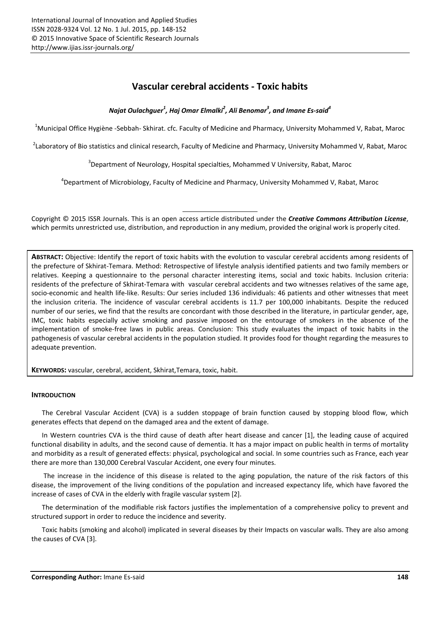# Vascular cerebral accidents - Toxic habits

*Najat Oulachguer<sup>1</sup> , Haj Omar Elmalki2 , Ali Benomar<sup>3</sup> , and Imane Es-said<sup>4</sup>*

<sup>1</sup>Municipal Office Hygiène -Sebbah- Skhirat. cfc. Faculty of Medicine and Pharmacy, University Mohammed V, Rabat, Maroc

<sup>2</sup>Laboratory of Bio statistics and clinical research, Faculty of Medicine and Pharmacy, University Mohammed V, Rabat, Maroc

 $3$ Department of Neurology, Hospital specialties, Mohammed V University, Rabat, Maroc

4 Department of Microbiology, Faculty of Medicine and Pharmacy, University Mohammed V, Rabat, Maroc

Copyright © 2015 ISSR Journals. This is an open access article distributed under the *Creative Commons Attribution License*, which permits unrestricted use, distribution, and reproduction in any medium, provided the original work is properly cited.

ABSTRACT: Objective: Identify the report of toxic habits with the evolution to vascular cerebral accidents among residents of the prefecture of Skhirat-Temara. Method: Retrospective of lifestyle analysis identified patients and two family members or relatives. Keeping a questionnaire to the personal character interesting items, social and toxic habits. Inclusion criteria: residents of the prefecture of Skhirat-Temara with vascular cerebral accidents and two witnesses relatives of the same age, socio-economic and health life-like. Results: Our series included 136 individuals: 46 patients and other witnesses that meet the inclusion criteria. The incidence of vascular cerebral accidents is 11.7 per 100,000 inhabitants. Despite the reduced number of our series, we find that the results are concordant with those described in the literature, in particular gender, age, IMC, toxic habits especially active smoking and passive imposed on the entourage of smokers in the absence of the implementation of smoke-free laws in public areas. Conclusion: This study evaluates the impact of toxic habits in the pathogenesis of vascular cerebral accidents in the population studied. It provides food for thought regarding the measures to adequate prevention.

KEYWORDS: vascular, cerebral, accident, Skhirat,Temara, toxic, habit.

# INTRODUCTION

The Cerebral Vascular Accident (CVA) is a sudden stoppage of brain function caused by stopping blood flow, which generates effects that depend on the damaged area and the extent of damage.

In Western countries CVA is the third cause of death after heart disease and cancer [1], the leading cause of acquired functional disability in adults, and the second cause of dementia. It has a major impact on public health in terms of mortality and morbidity as a result of generated effects: physical, psychological and social. In some countries such as France, each year there are more than 130,000 Cerebral Vascular Accident, one every four minutes.

The increase in the incidence of this disease is related to the aging population, the nature of the risk factors of this disease, the improvement of the living conditions of the population and increased expectancy life, which have favored the increase of cases of CVA in the elderly with fragile vascular system [2].

The determination of the modifiable risk factors justifies the implementation of a comprehensive policy to prevent and structured support in order to reduce the incidence and severity.

Toxic habits (smoking and alcohol) implicated in several diseases by their Impacts on vascular walls. They are also among the causes of CVA [3].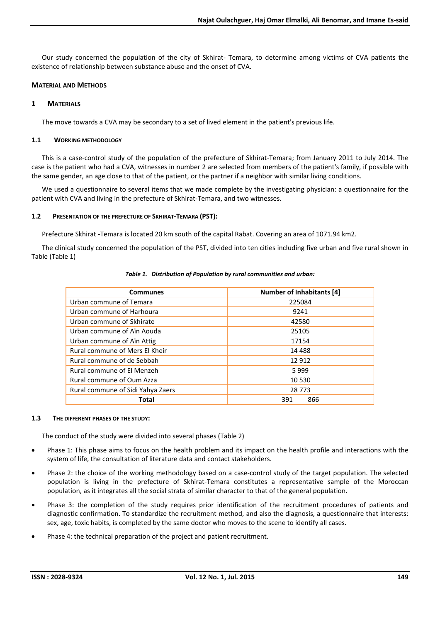Our study concerned the population of the city of Skhirat- Temara, to determine among victims of CVA patients the existence of relationship between substance abuse and the onset of CVA.

# MATERIAL AND METHODS

# 1 MATERIALS

The move towards a CVA may be secondary to a set of lived element in the patient's previous life.

# 1.1 WORKING METHODOLOGY

This is a case-control study of the population of the prefecture of Skhirat-Temara; from January 2011 to July 2014. The case is the patient who had a CVA, witnesses in number 2 are selected from members of the patient's family, if possible with the same gender, an age close to that of the patient, or the partner if a neighbor with similar living conditions.

We used a questionnaire to several items that we made complete by the investigating physician: a questionnaire for the patient with CVA and living in the prefecture of Skhirat-Temara, and two witnesses.

# 1.2 PRESENTATION OF THE PREFECTURE OF SKHIRAT-TEMARA (PST):

Prefecture Skhirat -Temara is located 20 km south of the capital Rabat. Covering an area of 1071.94 km2.

The clinical study concerned the population of the PST, divided into ten cities including five urban and five rural shown in Table (Table 1)

| Communes                          | <b>Number of Inhabitants [4]</b> |  |  |
|-----------------------------------|----------------------------------|--|--|
| Urban commune of Temara           | 225084                           |  |  |
| Urban commune of Harhoura         | 9241                             |  |  |
| Urban commune of Skhirate         | 42580                            |  |  |
| Urban commune of Aïn Aouda        | 25105                            |  |  |
| Urban commune of Aïn Attig        | 17154                            |  |  |
| Rural commune of Mers El Kheir    | 14 4 8 8                         |  |  |
| Rural commune of de Sebbah        | 12 912                           |  |  |
| Rural commune of El Menzeh        | 5999                             |  |  |
| Rural commune of Oum Azza         | 10 530                           |  |  |
| Rural commune of Sidi Yahya Zaers | 28 773                           |  |  |
| Total                             | 866<br>391                       |  |  |

# *Table 1. Distribution of Population by rural communities and urban:*

# 1.3 THE DIFFERENT PHASES OF THE STUDY:

The conduct of the study were divided into several phases (Table 2)

- Phase 1: This phase aims to focus on the health problem and its impact on the health profile and interactions with the system of life, the consultation of literature data and contact stakeholders.
- Phase 2: the choice of the working methodology based on a case-control study of the target population. The selected population is living in the prefecture of Skhirat-Temara constitutes a representative sample of the Moroccan population, as it integrates all the social strata of similar character to that of the general population.
- Phase 3: the completion of the study requires prior identification of the recruitment procedures of patients and diagnostic confirmation. To standardize the recruitment method, and also the diagnosis, a questionnaire that interests: sex, age, toxic habits, is completed by the same doctor who moves to the scene to identify all cases.
- Phase 4: the technical preparation of the project and patient recruitment.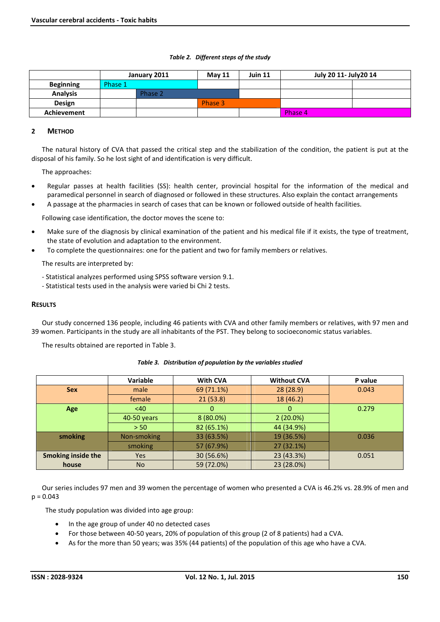#### *Table 2. Different steps of the study*

|                  |         | July 20 11- July 20 14<br>Juin 11<br>January 2011<br><b>May 11</b> |         |  |         |  |
|------------------|---------|--------------------------------------------------------------------|---------|--|---------|--|
| <b>Beginning</b> | Phase 1 |                                                                    |         |  |         |  |
| <b>Analysis</b>  |         | Phase 2                                                            |         |  |         |  |
| Design           |         |                                                                    | Phase 3 |  |         |  |
| Achievement      |         |                                                                    |         |  | Phase 4 |  |

# 2 METHOD

The natural history of CVA that passed the critical step and the stabilization of the condition, the patient is put at the disposal of his family. So he lost sight of and identification is very difficult.

The approaches:

- Regular passes at health facilities (SS): health center, provincial hospital for the information of the medical and paramedical personnel in search of diagnosed or followed in these structures. Also explain the contact arrangements
- A passage at the pharmacies in search of cases that can be known or followed outside of health facilities.

Following case identification, the doctor moves the scene to:

- Make sure of the diagnosis by clinical examination of the patient and his medical file if it exists, the type of treatment, the state of evolution and adaptation to the environment.
- To complete the questionnaires: one for the patient and two for family members or relatives.

The results are interpreted by:

- Statistical analyzes performed using SPSS software version 9.1.
- Statistical tests used in the analysis were varied bi Chi 2 tests.

#### **RESULTS**

Our study concerned 136 people, including 46 patients with CVA and other family members or relatives, with 97 men and 39 women. Participants in the study are all inhabitants of the PST. They belong to socioeconomic status variables.

The results obtained are reported in Table 3.

# *Table 3. Distribution of population by the variables studied*

|                           | <b>Variable</b> | <b>With CVA</b> | <b>Without CVA</b> | P value |
|---------------------------|-----------------|-----------------|--------------------|---------|
| <b>Sex</b>                | male            | 69 (71.1%)      | 28 (28.9)          | 0.043   |
|                           | female          | 21(53.8)        | 18 (46.2)          |         |
| <b>Age</b>                | <40             | $\Omega$        | 0                  | 0.279   |
|                           | 40-50 years     | 8 (80.0%)       | $2(20.0\%)$        |         |
|                           | > 50            | 82 (65.1%)      | 44 (34.9%)         |         |
| smoking                   | Non-smoking     | 33 (63.5%)      | 19 (36.5%)         | 0.036   |
|                           | smoking         | 57 (67.9%)      | 27 (32.1%)         |         |
| <b>Smoking inside the</b> | <b>Yes</b>      | 30 (56.6%)      | 23 (43.3%)         | 0.051   |
| house                     | <b>No</b>       | 59 (72.0%)      | 23 (28.0%)         |         |

Our series includes 97 men and 39 women the percentage of women who presented a CVA is 46.2% vs. 28.9% of men and  $p = 0.043$ 

The study population was divided into age group:

- In the age group of under 40 no detected cases
- For those between 40-50 years, 20% of population of this group (2 of 8 patients) had a CVA.
- As for the more than 50 years; was 35% (44 patients) of the population of this age who have a CVA.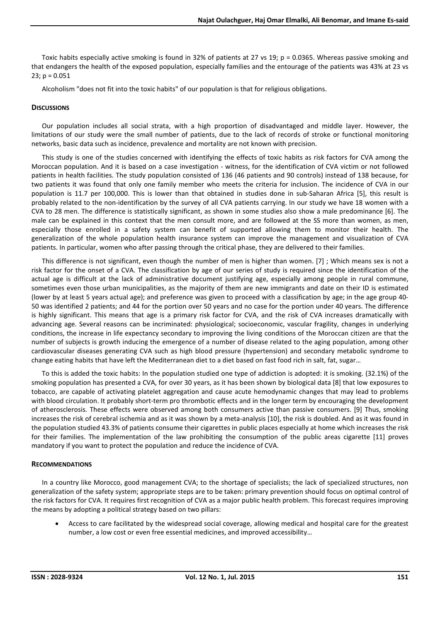Toxic habits especially active smoking is found in 32% of patients at 27 vs 19; p = 0.0365. Whereas passive smoking and that endangers the health of the exposed population, especially families and the entourage of the patients was 43% at 23 vs 23;  $p = 0.051$ 

Alcoholism "does not fit into the toxic habits" of our population is that for religious obligations.

# **DISCUSSIONS**

Our population includes all social strata, with a high proportion of disadvantaged and middle layer. However, the limitations of our study were the small number of patients, due to the lack of records of stroke or functional monitoring networks, basic data such as incidence, prevalence and mortality are not known with precision.

This study is one of the studies concerned with identifying the effects of toxic habits as risk factors for CVA among the Moroccan population. And it is based on a case investigation - witness, for the identification of CVA victim or not followed patients in health facilities. The study population consisted of 136 (46 patients and 90 controls) instead of 138 because, for two patients it was found that only one family member who meets the criteria for inclusion. The incidence of CVA in our population is 11.7 per 100,000. This is lower than that obtained in studies done in sub-Saharan Africa [5], this result is probably related to the non-identification by the survey of all CVA patients carrying. In our study we have 18 women with a CVA to 28 men. The difference is statistically significant, as shown in some studies also show a male predominance [6]. The male can be explained in this context that the men consult more, and are followed at the SS more than women, as men, especially those enrolled in a safety system can benefit of supported allowing them to monitor their health. The generalization of the whole population health insurance system can improve the management and visualization of CVA patients. In particular, women who after passing through the critical phase, they are delivered to their families.

This difference is not significant, even though the number of men is higher than women. [7] ; Which means sex is not a risk factor for the onset of a CVA. The classification by age of our series of study is required since the identification of the actual age is difficult at the lack of administrative document justifying age, especially among people in rural commune, sometimes even those urban municipalities, as the majority of them are new immigrants and date on their ID is estimated (lower by at least 5 years actual age); and preference was given to proceed with a classification by age; in the age group 40- 50 was identified 2 patients; and 44 for the portion over 50 years and no case for the portion under 40 years. The difference is highly significant. This means that age is a primary risk factor for CVA, and the risk of CVA increases dramatically with advancing age. Several reasons can be incriminated: physiological; socioeconomic, vascular fragility, changes in underlying conditions, the increase in life expectancy secondary to improving the living conditions of the Moroccan citizen are that the number of subjects is growth inducing the emergence of a number of disease related to the aging population, among other cardiovascular diseases generating CVA such as high blood pressure (hypertension) and secondary metabolic syndrome to change eating habits that have left the Mediterranean diet to a diet based on fast food rich in salt, fat, sugar…

To this is added the toxic habits: In the population studied one type of addiction is adopted: it is smoking. (32.1%) of the smoking population has presented a CVA, for over 30 years, as it has been shown by biological data [8] that low exposures to tobacco, are capable of activating platelet aggregation and cause acute hemodynamic changes that may lead to problems with blood circulation. It probably short-term pro thrombotic effects and in the longer term by encouraging the development of atherosclerosis. These effects were observed among both consumers active than passive consumers. [9] Thus, smoking increases the risk of cerebral ischemia and as it was shown by a meta-analysis [10], the risk is doubled. And as it was found in the population studied 43.3% of patients consume their cigarettes in public places especially at home which increases the risk for their families. The implementation of the law prohibiting the consumption of the public areas cigarette [11] proves mandatory if you want to protect the population and reduce the incidence of CVA.

# RECOMMENDATIONS

In a country like Morocco, good management CVA; to the shortage of specialists; the lack of specialized structures, non generalization of the safety system; appropriate steps are to be taken: primary prevention should focus on optimal control of the risk factors for CVA. It requires first recognition of CVA as a major public health problem. This forecast requires improving the means by adopting a political strategy based on two pillars:

 Access to care facilitated by the widespread social coverage, allowing medical and hospital care for the greatest number, a low cost or even free essential medicines, and improved accessibility…